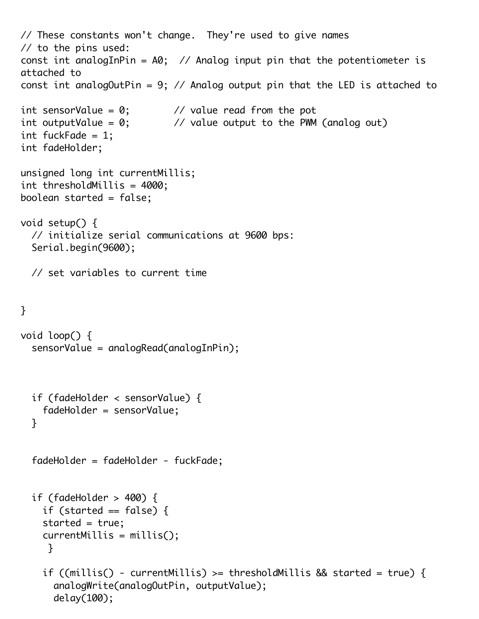```
// These constants won't change. They're used to give names
// to the pins used:
const int analogInPin = A0; // Analog input pin that the potentiometer is
attached to
const int analogOutPin = 9; // Analog output pin that the LED is attached to
int sensorValue = 0; \sqrt{2} value read from the pot
int outputValue = 0; \frac{1}{2} // value output to the PWM (analog out)
int fuckFade = 1;
int fadeHolder;
unsigned long int currentMillis;
int thresholdMillis = 4000;
boolean started = false;
void setup() {
   // initialize serial communications at 9600 bps:
   Serial.begin(9600);
   // set variables to current time
}
void loop() {
   sensorValue = analogRead(analogInPin);
   if (fadeHolder < sensorValue) {
     fadeHolder = sensorValue;
   }
   fadeHolder = fadeHolder - fuckFade;
   if (fadeHolder > 400) {
    if (started == false) {
     started = true;
     currentMillis = millis();
      }
     if ((millis() - currentMillis) >= thresholdMillis && started = true) {
       analogWrite(analogOutPin, outputValue);
       delay(100);
```